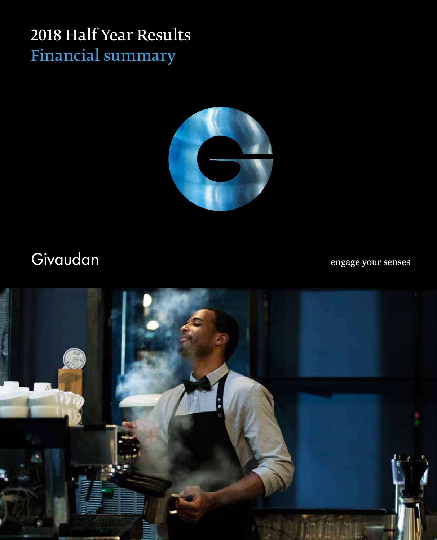## 2018 Half Year Results Financial summary



# Givaudan

engage your senses

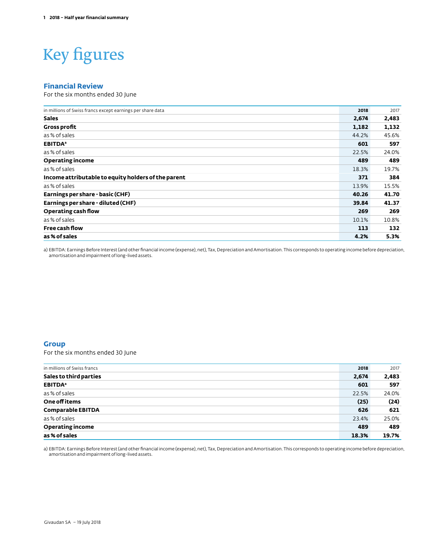# Key figures

#### **Financial Review**

For the six months ended 30 June

| in millions of Swiss francs except earnings per share data | 2018  | 2017  |
|------------------------------------------------------------|-------|-------|
| <b>Sales</b>                                               | 2,674 | 2,483 |
| <b>Gross profit</b>                                        | 1,182 | 1,132 |
| as % of sales                                              | 44.2% | 45.6% |
| <b>EBITDA</b> <sup>a</sup>                                 | 601   | 597   |
| as % of sales                                              | 22.5% | 24.0% |
| <b>Operating income</b>                                    | 489   | 489   |
| as % of sales                                              | 18.3% | 19.7% |
| Income attributable to equity holders of the parent        | 371   | 384   |
| as % of sales                                              | 13.9% | 15.5% |
| Earnings per share - basic (CHF)                           | 40.26 | 41.70 |
| Earnings per share - diluted (CHF)                         | 39.84 | 41.37 |
| Operating cash flow                                        | 269   | 269   |
| as % of sales                                              | 10.1% | 10.8% |
| Free cash flow                                             | 113   | 132   |
| as % of sales                                              | 4.2%  | 5.3%  |

a) EBITDA: Earnings Before Interest (and other financial income (expense), net), Tax, Depreciation and Amortisation. This corresponds to operating income before depreciation, amortisation and impairment of long-lived assets.

#### **Group**

For the six months ended 30 June

| in millions of Swiss francs | 2018  | 2017  |
|-----------------------------|-------|-------|
| Sales to third parties      | 2,674 | 2,483 |
| <b>EBITDA</b> <sup>a</sup>  | 601   | 597   |
| as % of sales               | 22.5% | 24.0% |
| One off items               | (25)  | (24)  |
| <b>Comparable EBITDA</b>    | 626   | 621   |
| as % of sales               | 23.4% | 25.0% |
| <b>Operating income</b>     | 489   | 489   |
| as % of sales               | 18.3% | 19.7% |

a) EBITDA: Earnings Before Interest (and other financial income (expense), net), Tax, Depreciation and Amortisation. This corresponds to operating income before depreciation, amortisation and impairment of long-lived assets.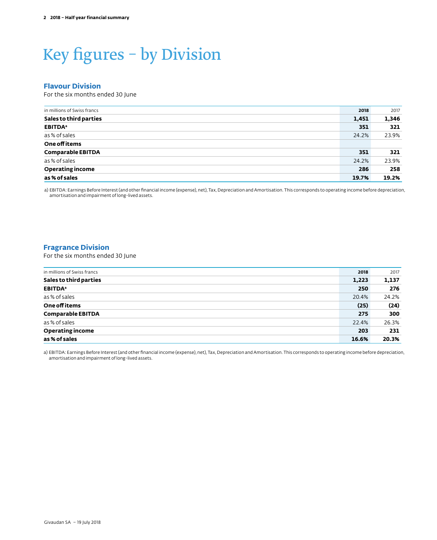# Key figures – by Division

#### **Flavour Division**

For the six months ended 30 June

| in millions of Swiss francs | 2018  | 2017  |
|-----------------------------|-------|-------|
| Sales to third parties      | 1,451 | 1,346 |
| <b>EBITDA</b> <sup>a</sup>  | 351   | 321   |
| as % of sales               | 24.2% | 23.9% |
| One off items               |       |       |
| <b>Comparable EBITDA</b>    | 351   | 321   |
| as % of sales               | 24.2% | 23.9% |
| <b>Operating income</b>     | 286   | 258   |
| as % of sales               | 19.7% | 19.2% |

a) EBITDA: Earnings Before Interest (and other financial income (expense), net), Tax, Depreciation and Amortisation. This corresponds to operating income before depreciation, amortisation and impairment of long-lived assets.

#### **Fragrance Division**

For the six months ended 30 June

| in millions of Swiss francs | 2018  | 2017  |
|-----------------------------|-------|-------|
| Sales to third parties      | 1,223 | 1,137 |
| <b>EBITDA</b> <sup>a</sup>  | 250   | 276   |
| as % of sales               | 20.4% | 24.2% |
| One off items               | (25)  | (24)  |
| <b>Comparable EBITDA</b>    | 275   | 300   |
| as % of sales               | 22.4% | 26.3% |
| <b>Operating income</b>     | 203   | 231   |
| as % of sales               | 16.6% | 20.3% |

a) EBITDA: Earnings Before Interest (and other financial income (expense), net), Tax, Depreciation and Amortisation. This corresponds to operating income before depreciation, amortisation and impairment of long-lived assets.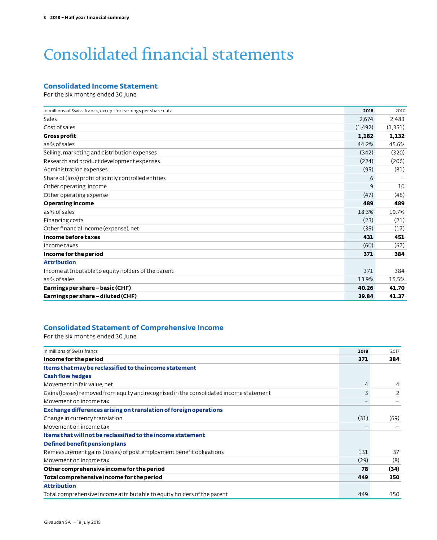## Consolidated financial statements

#### **Consolidated Income Statement**

For the six months ended 30 June

| in millions of Swiss francs, except for earnings per share data | 2018     | 2017     |
|-----------------------------------------------------------------|----------|----------|
| Sales                                                           | 2,674    | 2,483    |
| Cost of sales                                                   | (1, 492) | (1, 351) |
| <b>Gross profit</b>                                             | 1,182    | 1,132    |
| as % of sales                                                   | 44.2%    | 45.6%    |
| Selling, marketing and distribution expenses                    | (342)    | (320)    |
| Research and product development expenses                       | (224)    | (206)    |
| Administration expenses                                         | (95)     | (81)     |
| Share of (loss) profit of jointly controlled entities           | 6        |          |
| Other operating income                                          | 9        | 10       |
| Other operating expense                                         | (47)     | (46)     |
| <b>Operating income</b>                                         | 489      | 489      |
| as % of sales                                                   | 18.3%    | 19.7%    |
| Financing costs                                                 | (23)     | (21)     |
| Other financial income (expense), net                           | (35)     | (17)     |
| Income before taxes                                             | 431      | 451      |
| Income taxes                                                    | (60)     | (67)     |
| Income for the period                                           | 371      | 384      |
| <b>Attribution</b>                                              |          |          |
| Income attributable to equity holders of the parent             | 371      | 384      |
| as % of sales                                                   | 13.9%    | 15.5%    |
| Earnings per share - basic (CHF)                                | 40.26    | 41.70    |
| Earnings per share - diluted (CHF)                              | 39.84    | 41.37    |
|                                                                 |          |          |

#### **Consolidated Statement of Comprehensive Income**

For the six months ended 30 June

| in millions of Swiss francs                                                            | 2018 | 2017          |
|----------------------------------------------------------------------------------------|------|---------------|
| Income for the period                                                                  | 371  | 384           |
| Items that may be reclassified to the income statement                                 |      |               |
| <b>Cash flow hedges</b>                                                                |      |               |
| Movement in fair value, net                                                            | 4    | 4             |
| Gains (losses) removed from equity and recognised in the consolidated income statement | 3    | $\mathcal{P}$ |
| Movement on income tax                                                                 |      |               |
| Exchange differences arising on translation of foreign operations                      |      |               |
| Change in currency translation                                                         | (31) | (69)          |
| Movement on income tax                                                                 |      |               |
| Items that will not be reclassified to the income statement                            |      |               |
| Defined benefit pension plans                                                          |      |               |
| Remeasurement gains (losses) of post employment benefit obligations                    | 131  | 37            |
| Movement on income tax                                                                 | (29) | (8)           |
| Other comprehensive income for the period                                              | 78   | (34)          |
| Total comprehensive income for the period                                              | 449  | 350           |
| <b>Attribution</b>                                                                     |      |               |
| Total comprehensive income attributable to equity holders of the parent                | 449  | 350           |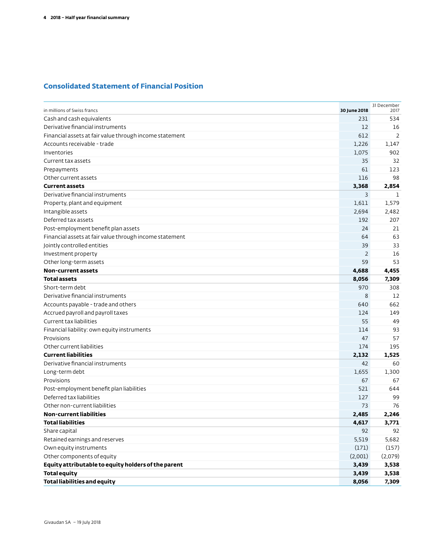### **Consolidated Statement of Financial Position**

| in millions of Swiss francs                             | 30 June 2018   | 31 December<br>2017 |
|---------------------------------------------------------|----------------|---------------------|
| Cash and cash equivalents                               | 231            | 534                 |
| Derivative financial instruments                        | 12             | 16                  |
| Financial assets at fair value through income statement | 612            | 2                   |
| Accounts receivable - trade                             | 1,226          | 1,147               |
| Inventories                                             | 1,075          | 902                 |
| Current tax assets                                      | 35             | 32                  |
| Prepayments                                             | 61             | 123                 |
| Other current assets                                    | 116            | 98                  |
| <b>Current assets</b>                                   | 3,368          | 2,854               |
| Derivative financial instruments                        | 3              | п.                  |
| Property, plant and equipment                           | 1,611          | 1,579               |
| Intangible assets                                       | 2,694          | 2,482               |
| Deferred tax assets                                     | 192            | 207                 |
| Post-employment benefit plan assets                     | 24             | 21                  |
| Financial assets at fair value through income statement | 64             | 63                  |
| Jointly controlled entities                             | 39             | 33                  |
| Investment property                                     | $\overline{2}$ | 16                  |
| Other long-term assets                                  | 59             | 53                  |
| Non-current assets                                      | 4,688          | 4,455               |
| <b>Total assets</b>                                     | 8,056          | 7,309               |
| Short-term debt                                         | 970            | 308                 |
| Derivative financial instruments                        | 8              | 12                  |
| Accounts payable - trade and others                     | 640            | 662                 |
| Accrued payroll and payroll taxes                       | 124            | 149                 |
| Current tax liabilities                                 | 55             | 49                  |
| Financial liability: own equity instruments             | 114            | 93                  |
| Provisions                                              | 47             | 57                  |
| Other current liabilities                               | 174            | 195                 |
| <b>Current liabilities</b>                              | 2,132          | 1,525               |
| Derivative financial instruments                        | 42             | 60                  |
| Long-term debt                                          | 1,655          | 1,300               |
| Provisions                                              | 67             | 67                  |
| Post-employment benefit plan liabilities                | 521            | 644                 |
| Deferred tax liabilities                                | 127            | 99                  |
| Other non-current liabilities                           | 73             | 76                  |
| <b>Non-current liabilities</b>                          | 2,485          | 2,246               |
| <b>Total liabilities</b>                                | 4,617          | 3,771               |
| Share capital                                           | 92             | 92                  |
| Retained earnings and reserves                          | 5,519          | 5,682               |
| Own equity instruments                                  | (171)          | (157)               |
| Other components of equity                              | (2,001)        | (2,079)             |
| Equity attributable to equity holders of the parent     | 3,439          | 3,538               |
| <b>Total equity</b>                                     | 3,439          | 3,538               |
| <b>Total liabilities and equity</b>                     | 8,056          | 7,309               |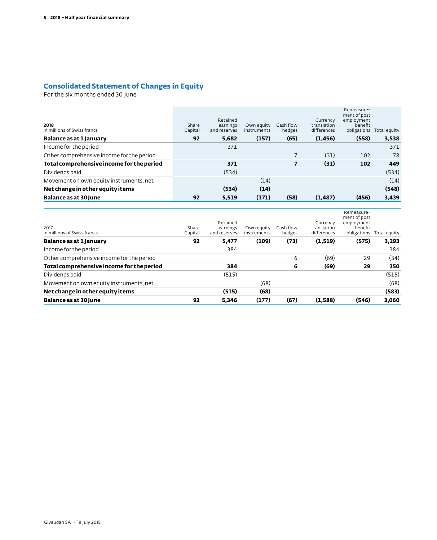### **Consolidated Statement of Changes in Equity**

For the six months ended 30 June

| 2018<br>in millions of Swiss francs       | Share<br>Capital | Retained<br>earnings<br>and reserves | Own equity<br>instruments | Cash flow<br>hedges | Currency<br>translation<br>differences | Remeasure-<br>ment of post<br>employment<br>benefit<br>obligations | Total equity |
|-------------------------------------------|------------------|--------------------------------------|---------------------------|---------------------|----------------------------------------|--------------------------------------------------------------------|--------------|
| Balance as at 1 January                   | 92               | 5.682                                | (157)                     | (65)                | (1, 456)                               | (558)                                                              | 3,538        |
| Income for the period                     |                  | 371                                  |                           |                     |                                        |                                                                    | 371          |
| Other comprehensive income for the period |                  |                                      |                           | 7                   | (31)                                   | 102                                                                | 78           |
| Total comprehensive income for the period |                  | 371                                  |                           | 7                   | (31)                                   | 102                                                                | 449          |
| Dividends paid                            |                  | (534)                                |                           |                     |                                        |                                                                    | (534)        |
| Movement on own equity instruments, net   |                  |                                      | (14)                      |                     |                                        |                                                                    | (14)         |
| Net change in other equity items          |                  | (534)                                | (14)                      |                     |                                        |                                                                    | (548)        |
| Balance as at 30 June                     | 92               | 5.519                                | (171)                     | (58)                | (1, 487)                               | (456)                                                              | 3,439        |

| Balance as at 30 June                     | 92               | 5,346                                | (177)                     | (67)                | (1,588)                                | (546)                                                              | 3,060        |
|-------------------------------------------|------------------|--------------------------------------|---------------------------|---------------------|----------------------------------------|--------------------------------------------------------------------|--------------|
| Net change in other equity items          |                  | (515)                                | (68)                      |                     |                                        |                                                                    | (583)        |
| Movement on own equity instruments, net   |                  |                                      | (68)                      |                     |                                        |                                                                    | (68)         |
| Dividends paid                            |                  | (515)                                |                           |                     |                                        |                                                                    | (515)        |
| Total comprehensive income for the period |                  | 384                                  |                           | 6                   | (69)                                   | 29                                                                 | 350          |
| Other comprehensive income for the period |                  |                                      |                           | 6                   | (69)                                   | 29                                                                 | (34)         |
| Income for the period                     |                  | 384                                  |                           |                     |                                        |                                                                    | 384          |
| Balance as at 1 January                   | 92               | 5,477                                | (109)                     | (73)                | (1,519)                                | (575)                                                              | 3,293        |
| 2017<br>in millions of Swiss francs       | Share<br>Capital | Retained<br>earnings<br>and reserves | Own equity<br>instruments | Cash flow<br>hedges | Currency<br>translation<br>differences | Remeasure-<br>ment of post<br>employment<br>benefit<br>obligations | Total equity |